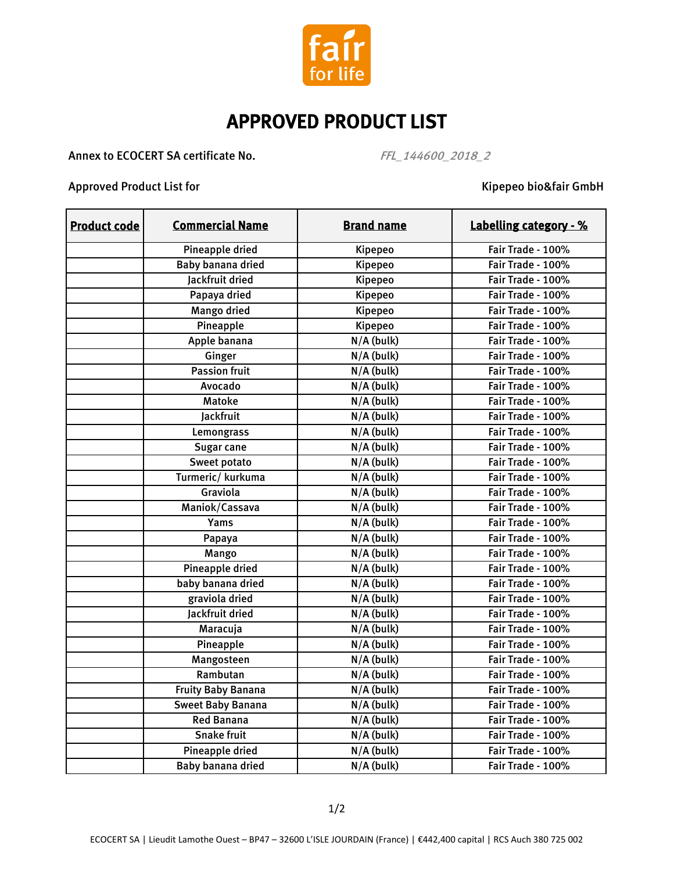

## APPROVED PRODUCT LIST

Annex to ECOCERT SA certificate No. FFL\_144600\_2018\_2

Approved Product List for Kipepeo bio&fair GmbH

| <b>Product code</b> | <b>Commercial Name</b>    | <b>Brand name</b>       | <b>Labelling category - %</b> |
|---------------------|---------------------------|-------------------------|-------------------------------|
|                     | Pineapple dried           | Kipepeo                 | Fair Trade - 100%             |
|                     | Baby banana dried         | Kipepeo                 | Fair Trade - 100%             |
|                     | Jackfruit dried           | Kipepeo                 | Fair Trade - 100%             |
|                     | Papaya dried              | Kipepeo                 | Fair Trade - 100%             |
|                     | Mango dried               | Kipepeo                 | Fair Trade - 100%             |
|                     | Pineapple                 | Kipepeo                 | Fair Trade - 100%             |
|                     | Apple banana              | $N/A$ (bulk)            | Fair Trade - 100%             |
|                     | Ginger                    | $N/A$ (bulk)            | Fair Trade - 100%             |
|                     | <b>Passion fruit</b>      | $N/A$ (bulk)            | Fair Trade - 100%             |
|                     | Avocado                   | $N/A$ (bulk)            | Fair Trade - 100%             |
|                     | <b>Matoke</b>             | $N/A$ (bulk)            | Fair Trade - 100%             |
|                     | Jackfruit                 | $N/A$ (bulk)            | Fair Trade - 100%             |
|                     | Lemongrass                | $N/A$ (bulk)            | Fair Trade - 100%             |
|                     | Sugar cane                | $N/A$ (bulk)            | Fair Trade - 100%             |
|                     | Sweet potato              | $N/A$ (bulk)            | Fair Trade - 100%             |
|                     | Turmeric/kurkuma          | $N/A$ (bulk)            | Fair Trade - 100%             |
|                     | Graviola                  | $\overline{N/A}$ (bulk) | Fair Trade - 100%             |
|                     | Maniok/Cassava            | $N/A$ (bulk)            | Fair Trade - 100%             |
|                     | Yams                      | $N/A$ (bulk)            | Fair Trade - 100%             |
|                     | Papaya                    | $N/A$ (bulk)            | Fair Trade - 100%             |
|                     | Mango                     | $N/A$ (bulk)            | Fair Trade - 100%             |
|                     | Pineapple dried           | $N/A$ (bulk)            | Fair Trade - 100%             |
|                     | baby banana dried         | N/A (bulk)              | Fair Trade - 100%             |
|                     | graviola dried            | N/A (bulk)              | Fair Trade - 100%             |
|                     | Jackfruit dried           | N/A (bulk)              | Fair Trade - 100%             |
|                     | Maracuja                  | $\overline{N}/A$ (bulk) | Fair Trade - 100%             |
|                     | Pineapple                 | $N/A$ (bulk)            | Fair Trade - 100%             |
|                     | Mangosteen                | $N/A$ (bulk)            | Fair Trade - 100%             |
|                     | Rambutan                  | $N/A$ (bulk)            | Fair Trade - 100%             |
|                     | <b>Fruity Baby Banana</b> | $N/A$ (bulk)            | Fair Trade - 100%             |
|                     | <b>Sweet Baby Banana</b>  | $N/A$ (bulk)            | Fair Trade - 100%             |
|                     | <b>Red Banana</b>         | N/A (bulk)              | Fair Trade - 100%             |
|                     | <b>Snake fruit</b>        | $N/A$ (bulk)            | Fair Trade - 100%             |
|                     | Pineapple dried           | $\overline{N}/A$ (bulk) | Fair Trade - 100%             |
|                     | Baby banana dried         | $\overline{N}/A$ (bulk) | Fair Trade - 100%             |